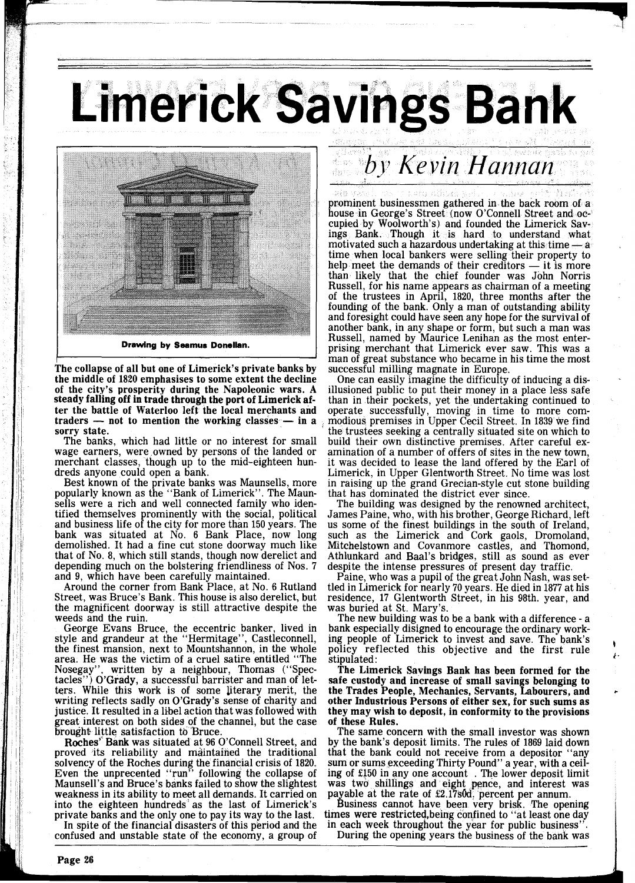**Limerick Savings Bank** 



**Drawing by Seamus Donellan.** 

**he collapse of all but one of Limerick's private banks by The collapse of all but one of Limerick's private banks by** the middle of 1820 emphasises to some extent the decline of the city's prosperity during the Napoleonic wars. A steady falling off in trade through the port of Limerick af-<br>ter the battle of Waterloo left the local merchants and<br>traders — not to mention the working classes — in a<br>servy state ter the battle of Waterloo left the local merchants and traders — not to mention the working classes — in a sorry state.

The banks, which had little or no interest for small wage earners, were owned by persons of the landed or merchant classes, though up to the mid-eighteen hundreds anyone could open a bank.

Best known of the private banks was Maunsells, more popularly known as the "Bank of Limerick". The Maunsells were a rich and well connected family who identified themselves prominently with the social, political and business life of the city for more than 150 years. The bank was situated at No. 6 Bank Place, now long demolished. It had a fine cut stone doorway much like that of No. 8, which still stands, though now derelict and depending much on the bolstering friendliness of Nos. 7

and 9, which have been carefully maintained. Around the corner from Bank Place, at No. 6 Rutland Street, was Bruce's Bank. This house is also derelict, but the magnificent doorway is still attractive despite the weeds and the ruin.

George Evans Bruce, the eccentric banker, lived in style and grandeur at the "Hermitage", Castleconnell, the finest mansion, next to Mountshannon, in the whole area. He was the victim of a cruel satire entitled "The Nosegay", written by a neighbour, Thomas ("Spec-Nosegay", written by a neighbour, Thomas ("Spec-<br>tacles") O'Grady, a successful barrister and man of let $t^{\prime}$ ) O'Grady, a successful barrister and man of letters. While this work is of some literary merit, the writing reflects sadly on O'Grady's sense of charity and justice. It resulted in a libel action that was followed with great interest on both sides of the channel, but the case brought little satisfaction tb 'Bruce.

Roches' Bank was situated at 96 O'Connell Street, and proved its reliability and maintained the traditional solvency of the Roches during the financial crisis of 1820. Even the unprecented "run" following the collapse of Maunsell's and Bruce's banks failed to show the slightest weakness in its ability to meet all demands. It carried on into the eighteen hundreds as the last of Limerick's private banks and the only one to pay its way to the last.

In spite of the financial disasters of this period and the confused and unstable state of the economy, a group of

prominent businessmen gathered in the back room of a house in George's Street (now O'Connell Street and occupied by Woolworth's) and founded the Limerick Savings Bank. Though it is hard to understand what cupied by Woolworth's) and founded the Limerick Sav-<br>ings. Bank. Though it is hard to understand what<br>motivated such a hazardous undertaking at this time - a<br>time when local bankers were selling their property to time when local bankers were selling their property to motivated such a hazardous undertaking at this time — a<br>time when local bankers were selling their property to<br>help meet the demands of their creditors — it is more<br>than likely that the chief founder was John Norris Russell, for his name appears as chairman of a meeting of the trustees in April, 1820, three months after the founding of the bank. Only a man of outstanding ability and foresight could have seen any hope for the survival of another bank, in any shape or form, but such a man was Russell, named by Maurice Lenihan as the most enterprising merchant that Limerick ever saw. This was a man of great substance who became in his time the most successful milling magnate in Europe.

by Kevin Hannan

One can easily imagine the difficulty of inducing a dis- illusioned public to put their money in a place less safe than in their pockets, yet the undertaking continued to operate successfully, moving in time to more commodious premises in Upper Cecil Street. In 1839 we find the trustees seeking a centrally situated site on which to build their own distinctive premises. After careful examination of a number of offers of sites in the new town, it was decided to lease the land offered by the Earl of Limerick, in Upper Glentworth Street. No time was lost in raising up the grand Grecian-style cut stone building that has dominated the district ever since.

The building was designed by the renowned architect, James Paine, who, with his brother, George Richard, left us some of the finest buildings in the south of Ireland, such as the Limerick and Cork gaols, Dromoland, Mitchelstown and Covanmore castles, and Thomond, Athlunkard and Baal's bridges, still as sound as ever despite the intense pressures of present day traffic.

Paine, who was a pupil of the great John Nash, was settled in Limerick for nearly 70 years. He died in 1877 at his residence, 17 Glentworth Street, in his 98th. year, and

The new building was to be a bank with a difference - a bank especially disigned to encourage the ordinary working people of Limerick to invest and save. The bank's policy reflected this objective and the first rule *stipulated*:

The Limerick Savings Bank has been formed for the safe custody and increase of small savings belonging to the Trades People, Mechanics, Servants, Labourers, and other Industrious Persons of either sex, for such sums as they may wish to deposit, in conformity to the provisions of these Rules.

The same concern with the small investor was shown by the bank's deposit limits. The rules of 1869 laid down that the bank could not receive from a depositor "any sum or sums exceeding Thirty Pound" a year, with a ceiling of 2150 in any one account . The lower deposit limit was two shillings and eight pence, and interest was payable at the rate of £2.17s0d. percent per annum.

Business cannot have been very brisk. The opening times were restricted, being confined to "at least one day in each week throughout the year for public business".

During the opening years the business of the bank was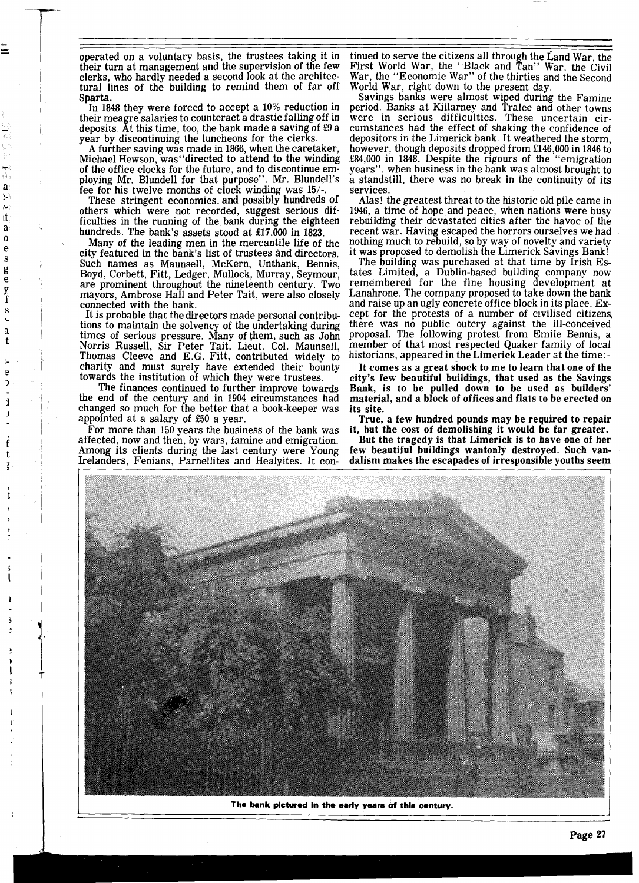operated on a voluntary basis, the trustees taking it in their turn at management and the supervision of the few clerks, who hardly needed a second look at the architectural lines of the building to remind them of far off Sparta.

In 1848 they were forced to accept a 10% reduction in their meagre salaries to counteract a drastic falling off in deposits. At this time, too, the bank made a saving of £9 a year by discontinuing the luncheons for the clerks.

A further saving was made in 1866, when the caretaker, Michael Hewson, was''directed to attend to the winding<br>of the office clocks for the future, and to discontinue employing Mr. Blundell for that purpose". Mr. Blundell's fee for his twelve months of clock winding was  $15/$ .

a ŷ.  $t^{\frac{1}{2}}$ ıt â  $\mathbf{o}$  $\ddot{\text{e}}$  $\mathbf{s}$ g<br>e  $\frac{y}{f}$ S  $\ddot{\phantom{a}}$  $\overline{\mathbf{a}}$  $\mathbf t$ 

> e  $\mathfrak{I}$  $\mathbf{1}$  $\mathbf{C}$

These stringent economies, and possibly hundreds of others which were not recorded, suggest serious difficulties in the running of the bank during the eighteen hundreds. The bank's assets stood at £17,000 in 1823.

Many of the leading men in the mercantile life of the city featured in the bank's list of trustees and directors. Such names as Maunsell, McKern, Unthank, Bennis, Boyd, Corbett, Fitt, Ledger, Mullock, Murray, Seymour, are prominent throughout the nineteenth century. Two mayors, Ambrose Hall and Peter Tait, were also closely connected with the bank.

It is probable that the directors made personal contribu-<br>tions to maintain the solvency of the undertaking during tions to maintain the solvency of the undertaking during times of serious pressure. Many of **them,** such as John Norris Russell, Sir Peter Tait. Lieut. Col. Maunsell, Thomas Cleeve and E.G. Fitt, contributed widely to charity and must surely have extended their bounty towards the institution of which they were trustees.<br>The finances continued to further improve towards

the end of the century and in 1904 circumstances had changed so much for the better that a book-keeper was appointed at a salary of 550 a year.

For more than 150 years the business of the bank was affected, now and then, by wars, famine and emigration. Among its clients during the last century were Young Irelanders, Fenians, Parnellites and Healvites. It con-

tinued to serve the citizens all through the Land War, the First World War, the "Black and Tan" War, the Civil War, the "Economic War" of the thirties and the Second World War, right down to the present day.

Savings banks were almost wiped during the Famine period. Banks at Killarney and Tralee and other towns were in serious difficulties. These uncertain circumstances had the effect of shaking the confidence of depositors in the Limerick bank. It weathered the storm, however, though deposits dropped from £146,000 in 1846 to £84,000 in 1848. Despite the rigours of the "emigration" years", when business in the bank was almost brought to a standstill, there was no break in the continuity of its services.

Alas! the greatest threat to the historic old pile came in 1946, a time of hope and peace, when nations were busy rebuilding their devastated cities after the havoc of the recent war. Having escaped the horrors ourselves we had nothing much to rebuild, so by way of novelty and variety it was proposed to demolish the Limerick Savings Bank!

The building was purchased at that time by Irish Estates Limited, a Dublin-based building company now remembered for the fine housing development at Lanahrone, The company proposed to take down the bank and raise up an ugly concrete office block in its place. Except for the protests of a number of civilised citizens, there was no public outcry against the ill-conceived proposal. The following protest from Emile Bennis, a member of that most respected Quaker family of local historians, appeared in the Limerick Leader at the time: -

It comes as a great shock to me to learn that one of the city's few beautiful buildings, that used as the Savings Bank, is to be pulled down to be used as builders' material, and a block of offices and flats to be erected on its site.

True, **a** few hundred pounds may be required to repair it, but the cost of demolishing it would be far greater.

But the tragedy is that Limerick is to have one of her few beautiful buildings wantonly destroyed. Such vandalism makes the escapades of irresponsible youths seem



The bank pictured in the early years of this century.